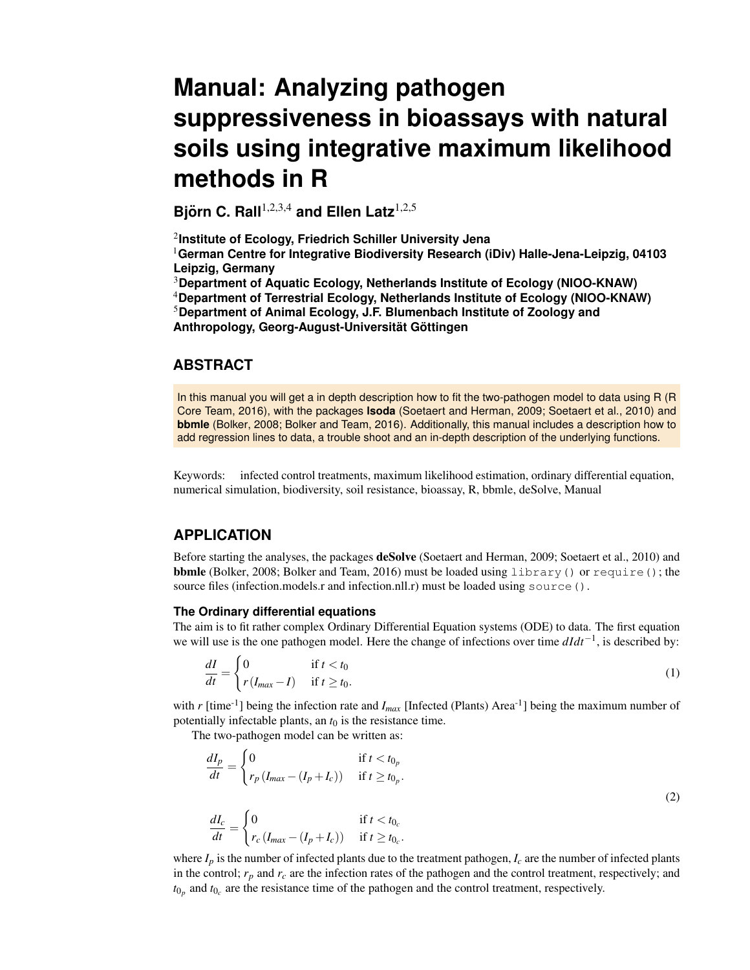# **Manual: Analyzing pathogen suppressiveness in bioassays with natural soils using integrative maximum likelihood methods in R**

**Bjorn C. Rall ¨** 1,2,3,4 **and Ellen Latz**1,2,5

2 **Institute of Ecology, Friedrich Schiller University Jena**

<sup>1</sup>**German Centre for Integrative Biodiversity Research (iDiv) Halle-Jena-Leipzig, 04103 Leipzig, Germany**

<sup>3</sup>**Department of Aquatic Ecology, Netherlands Institute of Ecology (NIOO-KNAW)**

<sup>4</sup>**Department of Terrestrial Ecology, Netherlands Institute of Ecology (NIOO-KNAW)** <sup>5</sup>**Department of Animal Ecology, J.F. Blumenbach Institute of Zoology and Anthropology, Georg-August-Universitat G ¨ ottingen ¨**

## **ABSTRACT**

In this manual you will get a in depth description how to fit the two-pathogen model to data using R (R Core Team, 2016), with the packages **lsoda** (Soetaert and Herman, 2009; Soetaert et al., 2010) and **bbmle** (Bolker, 2008; Bolker and Team, 2016). Additionally, this manual includes a description how to add regression lines to data, a trouble shoot and an in-depth description of the underlying functions.

Keywords: infected control treatments, maximum likelihood estimation, ordinary differential equation, numerical simulation, biodiversity, soil resistance, bioassay, R, bbmle, deSolve, Manual

# **APPLICATION**

Before starting the analyses, the packages deSolve (Soetaert and Herman, 2009; Soetaert et al., 2010) and bbmle (Bolker, 2008; Bolker and Team, 2016) must be loaded using library() or require(); the source files (infection.models.r and infection.nll.r) must be loaded using source ().

### **The Ordinary differential equations**

The aim is to fit rather complex Ordinary Differential Equation systems (ODE) to data. The first equation we will use is the one pathogen model. Here the change of infections over time *dIdt*−<sup>1</sup> , is described by:

$$
\frac{dI}{dt} = \begin{cases} 0 & \text{if } t < t_0 \\ r(I_{max} - I) & \text{if } t \ge t_0. \end{cases}
$$
 (1)

with  $r$  [time<sup>-1</sup>] being the infection rate and  $I_{max}$  [Infected (Plants) Area<sup>-1</sup>] being the maximum number of potentially infectable plants, an  $t_0$  is the resistance time.

The two-pathogen model can be written as:

$$
\frac{dI_p}{dt} = \begin{cases}\n0 & \text{if } t < t_{0_p} \\
r_p \left(I_{max} - (I_p + I_c)\right) & \text{if } t \ge t_{0_p}.\n\end{cases}
$$
\n
$$
\frac{dI_c}{dt} = \begin{cases}\n0 & \text{if } t < t_{0_c} \\
r_c \left(I_{max} - (I_p + I_c)\right) & \text{if } t \ge t_{0_c}.\n\end{cases}
$$
\n(2)

where  $I_p$  is the number of infected plants due to the treatment pathogen,  $I_c$  are the number of infected plants in the control;  $r_p$  and  $r_c$  are the infection rates of the pathogen and the control treatment, respectively; and  $t_{0_p}$  and  $t_{0_c}$  are the resistance time of the pathogen and the control treatment, respectively.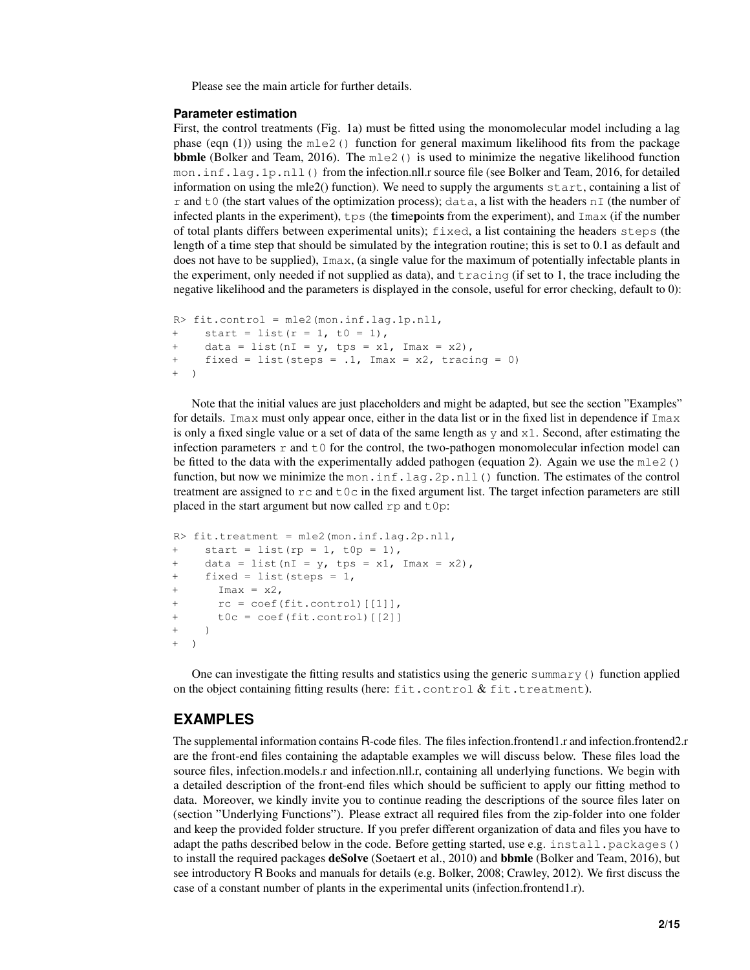Please see the main article for further details.

### **Parameter estimation**

First, the control treatments (Fig. 1a) must be fitted using the monomolecular model including a lag phase (eqn (1)) using the  $m \leq 1$  function for general maximum likelihood fits from the package **bbmle** (Bolker and Team, 2016). The  $m \geq 0$  is used to minimize the negative likelihood function mon.inf.lag.1p.nll() from the infection.nll.r source file (see Bolker and Team, 2016, for detailed information on using the mle2() function). We need to supply the arguments  $start$ , containing a list of r and t0 (the start values of the optimization process); data, a list with the headers  $nI$  (the number of infected plants in the experiment),  $tps$  (the timepoints from the experiment), and  $\text{Im}ax$  (if the number of total plants differs between experimental units); fixed, a list containing the headers steps (the length of a time step that should be simulated by the integration routine; this is set to 0.1 as default and does not have to be supplied), Imax, (a single value for the maximum of potentially infectable plants in the experiment, only needed if not supplied as data), and  $\tau$  acing (if set to 1, the trace including the negative likelihood and the parameters is displayed in the console, useful for error checking, default to 0):

```
R> fit.control = mle2(mon.inf.lag.1p.nll,
+ start = list(r = 1, t0 = 1),
+ data = list(nI = y, tps = x1, Imax = x2),
+ fixed = list(steps = .1, Imax = x2, tracing = 0)
+ )
```
Note that the initial values are just placeholders and might be adapted, but see the section "Examples" for details. Imax must only appear once, either in the data list or in the fixed list in dependence if Imax is only a fixed single value or a set of data of the same length as  $y$  and  $x1$ . Second, after estimating the infection parameters  $r$  and  $t \theta$  for the control, the two-pathogen monomolecular infection model can be fitted to the data with the experimentally added pathogen (equation 2). Again we use the mle2() function, but now we minimize the mon.inf.lag.2p.nll() function. The estimates of the control treatment are assigned to  $rc$  and  $t0c$  in the fixed argument list. The target infection parameters are still placed in the start argument but now called  $rp$  and  $t0p$ :

```
R> fit.treatment = mle2(mon.inf.lag.2p.nll,
+ start = list(rp = 1, t0p = 1),
+ data = list(nI = y, tps = x1, Imax = x2),
+ fixed = list(steps = 1,
+ \text{Imax} = x2,+ rc = coef(fit.control)[[1]],
+ t0c = coef(fit.control)[[2]]
+ )
  \rightarrow
```
One can investigate the fitting results and statistics using the generic summary() function applied on the object containing fitting results (here:  $fit$ .control  $& fit$ .treatment).

## **EXAMPLES**

The supplemental information contains R-code files. The files infection.frontend1.r and infection.frontend2.r are the front-end files containing the adaptable examples we will discuss below. These files load the source files, infection.models.r and infection.nll.r, containing all underlying functions. We begin with a detailed description of the front-end files which should be sufficient to apply our fitting method to data. Moreover, we kindly invite you to continue reading the descriptions of the source files later on (section "Underlying Functions"). Please extract all required files from the zip-folder into one folder and keep the provided folder structure. If you prefer different organization of data and files you have to adapt the paths described below in the code. Before getting started, use e.g. install.packages() to install the required packages deSolve (Soetaert et al., 2010) and bbmle (Bolker and Team, 2016), but see introductory R Books and manuals for details (e.g. Bolker, 2008; Crawley, 2012). We first discuss the case of a constant number of plants in the experimental units (infection.frontend1.r).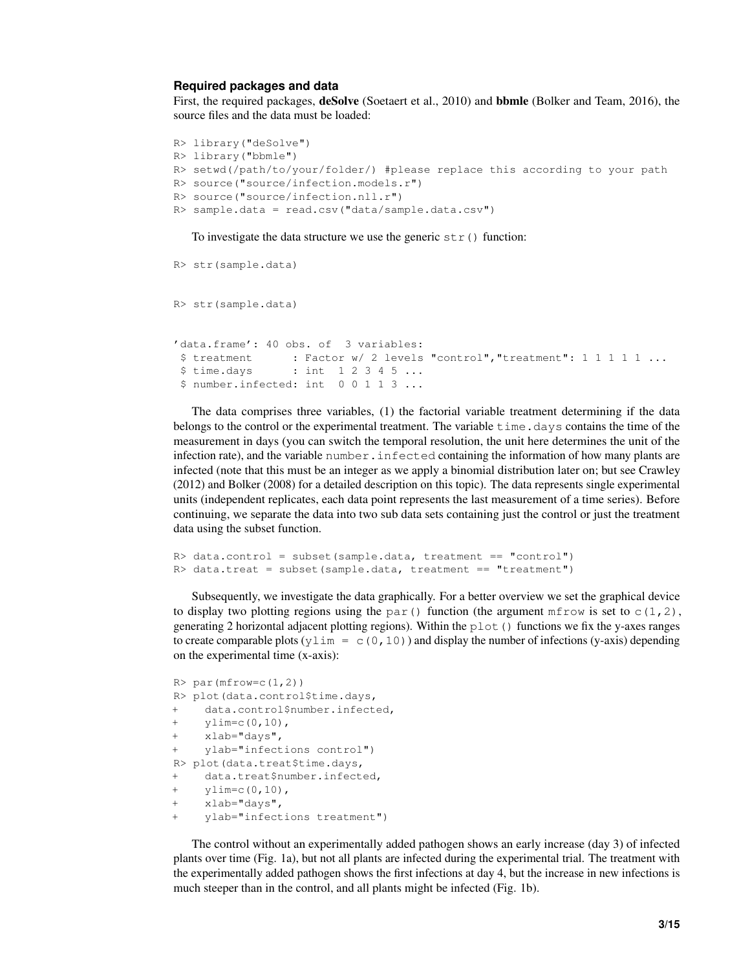#### **Required packages and data**

First, the required packages, deSolve (Soetaert et al., 2010) and bbmle (Bolker and Team, 2016), the source files and the data must be loaded:

```
R> library("deSolve")
R> library("bbmle")
R> setwd(/path/to/your/folder/) #please replace this according to your path
R> source("source/infection.models.r")
R> source("source/infection.nll.r")
R> sample.data = read.csv("data/sample.data.csv")
```
To investigate the data structure we use the generic  $str()$  function:

```
R> str(sample.data)
R> str(sample.data)
'data.frame': 40 obs. of 3 variables:
 $ treatment : Factor w/ 2 levels "control", "treatment": 1 1 1 1 1 ...
 $ time.days : int 1 2 3 4 5 ...
 $ number.infected: int 0 0 1 1 3 ...
```
The data comprises three variables, (1) the factorial variable treatment determining if the data belongs to the control or the experimental treatment. The variable time.days contains the time of the measurement in days (you can switch the temporal resolution, the unit here determines the unit of the infection rate), and the variable number.infected containing the information of how many plants are infected (note that this must be an integer as we apply a binomial distribution later on; but see Crawley (2012) and Bolker (2008) for a detailed description on this topic). The data represents single experimental units (independent replicates, each data point represents the last measurement of a time series). Before continuing, we separate the data into two sub data sets containing just the control or just the treatment data using the subset function.

```
R> data.control = subset(sample.data, treatment == "control")
R> data.treat = subset(sample.data, treatment == "treatment")
```
Subsequently, we investigate the data graphically. For a better overview we set the graphical device to display two plotting regions using the par() function (the argument  $m$  from is set to c(1,2), generating 2 horizontal adjacent plotting regions). Within the plot() functions we fix the y-axes ranges to create comparable plots (y $\text{lim} = c(0,10)$ ) and display the number of infections (y-axis) depending on the experimental time (x-axis):

```
R > par(mfrow=c(1,2))R> plot(data.control$time.days,
+ data.control$number.infected,
+ ylim=c(0,10),
+ xlab="days",
    ylab="infections control")
R> plot(data.treat$time.days,
+ data.treat$number.infected,
+ ylim=c(0,10),
+ xlab="days",
    ylab="infections treatment")
```
The control without an experimentally added pathogen shows an early increase (day 3) of infected plants over time (Fig. 1a), but not all plants are infected during the experimental trial. The treatment with the experimentally added pathogen shows the first infections at day 4, but the increase in new infections is much steeper than in the control, and all plants might be infected (Fig. 1b).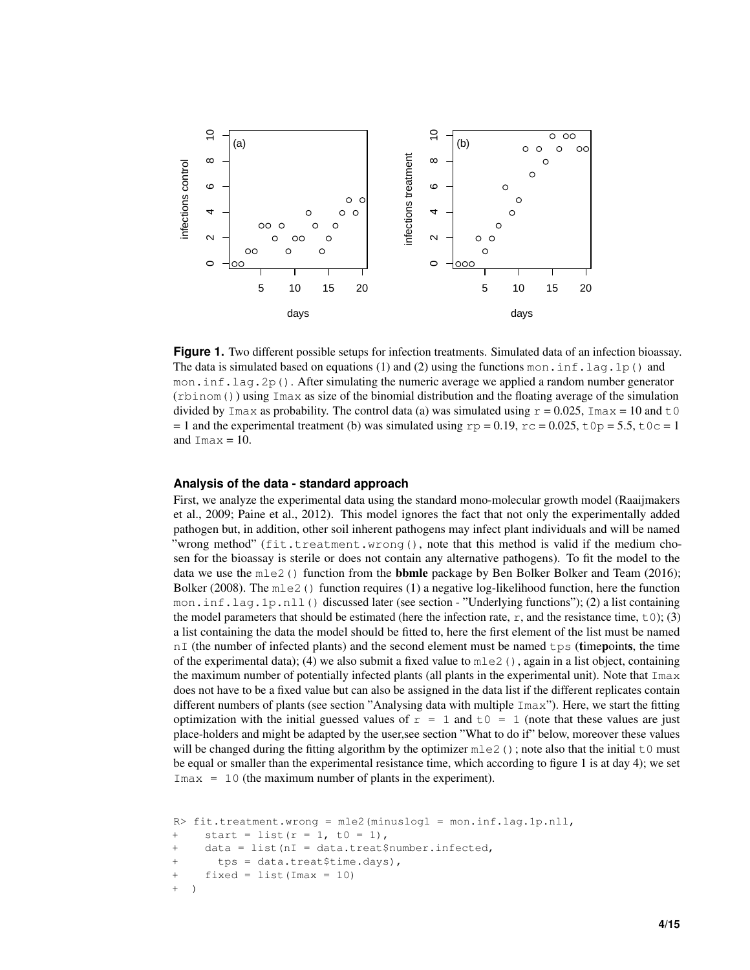

**Figure 1.** Two different possible setups for infection treatments. Simulated data of an infection bioassay. The data is simulated based on equations (1) and (2) using the functions mon. inf. lag. 1p() and mon. inf. lag.  $2p()$ . After simulating the numeric average we applied a random number generator (rbinom()) using Imax as size of the binomial distribution and the floating average of the simulation divided by Imax as probability. The control data (a) was simulated using  $r = 0.025$ , Imax = 10 and t0 = 1 and the experimental treatment (b) was simulated using  $rp = 0.19$ ,  $rc = 0.025$ ,  $t0p = 5.5$ ,  $t0c = 1$ and  $\text{Imax} = 10$ .

#### **Analysis of the data - standard approach**

First, we analyze the experimental data using the standard mono-molecular growth model (Raaijmakers et al., 2009; Paine et al., 2012). This model ignores the fact that not only the experimentally added pathogen but, in addition, other soil inherent pathogens may infect plant individuals and will be named "wrong method" (fit.treatment.wrong(), note that this method is valid if the medium chosen for the bioassay is sterile or does not contain any alternative pathogens). To fit the model to the data we use the  $m \leq 2$  () function from the **bbmle** package by Ben Bolker Bolker and Team (2016); Bolker (2008). The  $m \leq 2$  () function requires (1) a negative log-likelihood function, here the function mon.inf.lag.1p.nll() discussed later (see section - "Underlying functions"); (2) a list containing the model parameters that should be estimated (here the infection rate, r, and the resistance time,  $\pm 0$ ); (3) a list containing the data the model should be fitted to, here the first element of the list must be named  $nI$  (the number of infected plants) and the second element must be named  $tps$  (timepoints, the time of the experimental data); (4) we also submit a fixed value to  $m \leq 1$ , again in a list object, containing the maximum number of potentially infected plants (all plants in the experimental unit). Note that Imax does not have to be a fixed value but can also be assigned in the data list if the different replicates contain different numbers of plants (see section "Analysing data with multiple  $\text{Imax}$ "). Here, we start the fitting optimization with the initial guessed values of  $r = 1$  and  $t = 0$  = 1 (note that these values are just place-holders and might be adapted by the user,see section "What to do if" below, moreover these values will be changed during the fitting algorithm by the optimizer  $m \le 2$  (); note also that the initial  $\pm 0$  must be equal or smaller than the experimental resistance time, which according to figure 1 is at day 4); we set  $\text{Imax} = 10$  (the maximum number of plants in the experiment).

```
R> fit.treatment.wrong = mle2(minuslogl = mon.inf.lag.1p.nll,
+ start = list(r = 1, t0 = 1),
+ data = list(nI = data.treat$number.infected,
+ tps = data.treat$time.days),
+ fixed = list(Imax = 10)
+ )
```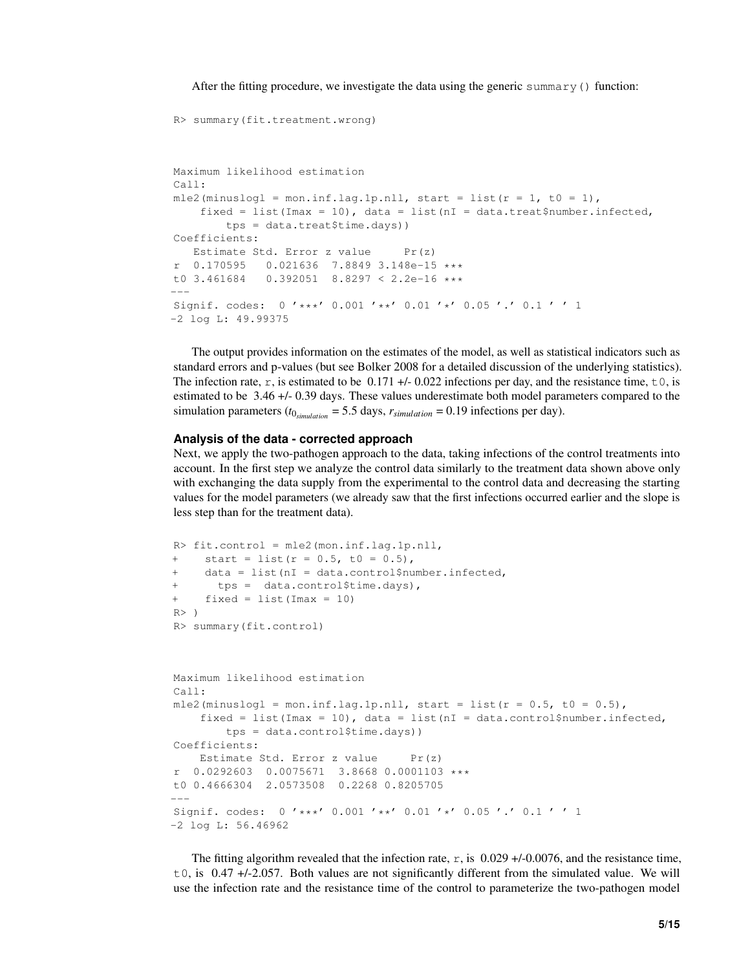After the fitting procedure, we investigate the data using the generic summary () function:

```
Maximum likelihood estimation
Call:
mle2(minuslogl = mon.inf.lag.1p.nll, start = list(r = 1, t0 = 1),
    fixed = list(Imax = 10), data = list(nI = data.treat$number.infected,
        tps = data.treat$time.days))
Coefficients:
   Estimate Std. Error z value Pr(z)
  0.170595 0.021636 7.8849 3.148e-15 ***
t0 3.461684 0.392051 8.8297 < 2.2e-16 ***
---
Signif. codes: 0 '***' 0.001 '**' 0.01 '*' 0.05 '.' 0.1 ' ' 1
-2 log L: 49.99375
```
The output provides information on the estimates of the model, as well as statistical indicators such as standard errors and p-values (but see Bolker 2008 for a detailed discussion of the underlying statistics). The infection rate, r, is estimated to be  $0.171 + 0.022$  infections per day, and the resistance time, to, is estimated to be 3.46 +/- 0.39 days. These values underestimate both model parameters compared to the simulation parameters ( $t_{0,simulation} = 5.5$  days,  $r_{simulation} = 0.19$  infections per day).

#### **Analysis of the data - corrected approach**

R> summary(fit.treatment.wrong)

Next, we apply the two-pathogen approach to the data, taking infections of the control treatments into account. In the first step we analyze the control data similarly to the treatment data shown above only with exchanging the data supply from the experimental to the control data and decreasing the starting values for the model parameters (we already saw that the first infections occurred earlier and the slope is less step than for the treatment data).

```
R> fit.control = mle2(mon.inf.lag.1p.nll,
+ start = list(r = 0.5, t0 = 0.5),
    data = list(nI = data.contrib){\mathfrak{m}}tps = data.contribtime days),
+ fixed = list(Imax = 10)
R>1R> summary(fit.control)
Maximum likelihood estimation
Call:
mle2(minuslogl = mon.inf.lag.1p.nll, start = list(r = 0.5, t0 = 0.5),
    fixed = list(Imax = 10), data = list(nI = data.control$number.infected,
        tps = data.control$time.days))
Coefficients:
   Estimate Std. Error z value Pr(z)
r 0.0292603 0.0075671 3.8668 0.0001103 ***
t0 0.4666304 2.0573508 0.2268 0.8205705
---Signif. codes: 0 '***' 0.001 '**' 0.01 '*' 0.05 '.' 0.1 ' ' 1
-2 log L: 56.46962
```
The fitting algorithm revealed that the infection rate,  $r$ , is 0.029 +/-0.0076, and the resistance time,  $\pm 0$ , is 0.47 +/-2.057. Both values are not significantly different from the simulated value. We will use the infection rate and the resistance time of the control to parameterize the two-pathogen model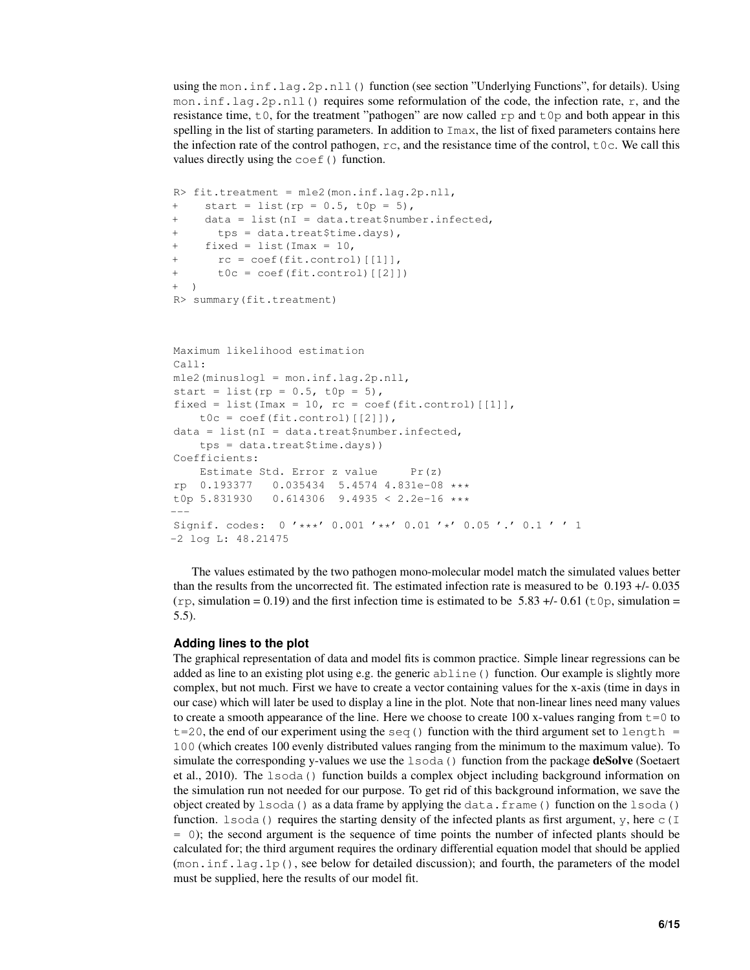using the mon.inf.lag.2p.nll() function (see section "Underlying Functions", for details). Using mon.inf.lag.2p.nll() requires some reformulation of the code, the infection rate, r, and the resistance time,  $\pm 0$ , for the treatment "pathogen" are now called rp and  $\pm 0$  and both appear in this spelling in the list of starting parameters. In addition to  $\text{Im} \alpha x$ , the list of fixed parameters contains here the infection rate of the control pathogen,  $rc$ , and the resistance time of the control,  $t \circ c$ . We call this values directly using the coef() function.

```
R> fit.treatment = mle2(mon.inf.lag.2p.nll,
+ start = list(rp = 0.5, t0p = 5),
+ data = list(nI = data.treat$number.infected,
+ tps = data.treat$time.days),
+ fixed = list(Imax = 10,
+ rc = coef(fit.control)[[1]],
+ t0c = coef(fit.control)[[2]])
+ )
R> summary(fit.treatment)
```

```
Maximum likelihood estimation
Call:
mle2(minuslogl = mon.inf.lag.2p.nll,
start = list(rp = 0.5, t0p = 5),
fixed = list(Imax = 10, rc = coef(fit.contrib)[1]],
    t0c = coef(fit.contrib)[[2]]),
data = list(nI = data.treat$number.infected,
    tps = data.treat$time.days))
Coefficients:
    Estimate Std. Error z value Pr(z)
rp 0.193377 0.035434 5.4574 4.831e-08 **<br>t0p 5.831930 0.614306 9.4935 < 2.2e-16 ***0.614306 9.4935 < 2.2e-16 ***
---
Signif. codes: 0 '***' 0.001 '**' 0.01 '*' 0.05 '.' 0.1 ' ' 1
-2 log L: 48.21475
```
The values estimated by the two pathogen mono-molecular model match the simulated values better than the results from the uncorrected fit. The estimated infection rate is measured to be 0.193 +/- 0.035  $(\text{rp}, \text{simulation} = 0.19)$  and the first infection time is estimated to be 5.83 +/- 0.61 ( $\text{tp}, \text{simulation} =$ 5.5).

### **Adding lines to the plot**

The graphical representation of data and model fits is common practice. Simple linear regressions can be added as line to an existing plot using e.g. the generic abline() function. Our example is slightly more complex, but not much. First we have to create a vector containing values for the x-axis (time in days in our case) which will later be used to display a line in the plot. Note that non-linear lines need many values to create a smooth appearance of the line. Here we choose to create 100 x-values ranging from  $t=0$  to  $t=20$ , the end of our experiment using the seq () function with the third argument set to length = 100 (which creates 100 evenly distributed values ranging from the minimum to the maximum value). To simulate the corresponding y-values we use the lsoda() function from the package **deSolve** (Soetaert et al., 2010). The lsoda() function builds a complex object including background information on the simulation run not needed for our purpose. To get rid of this background information, we save the object created by  $lsoda()$  as a data frame by applying the data.frame() function on the  $lsoda()$ function. 1 soda() requires the starting density of the infected plants as first argument, y, here  $\in$  (I = 0); the second argument is the sequence of time points the number of infected plants should be calculated for; the third argument requires the ordinary differential equation model that should be applied  $(\text{mon.inf.laq.lp}()$ , see below for detailed discussion); and fourth, the parameters of the model must be supplied, here the results of our model fit.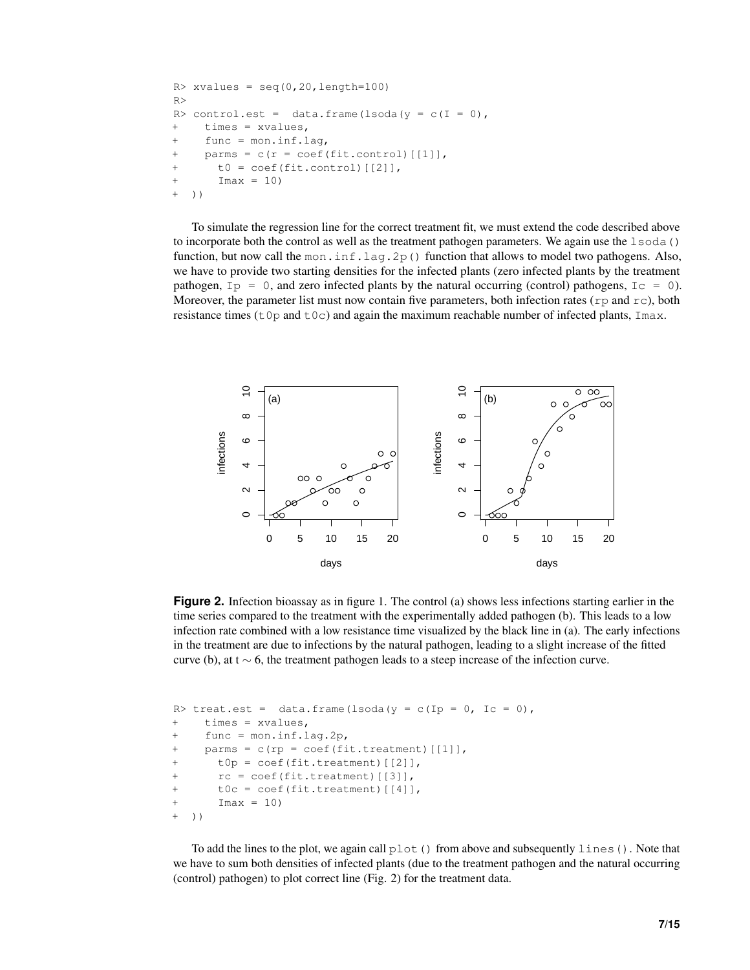```
R > xvalues = seq(0,20,length=100)
R>
R> control.est = data.frame(lsoda(y = c(I = 0),
+ times = xvalues,
     func = mon.inf.lag,+ parms = c(r = coef(fit.contrib)[[1]],t0 = \text{coeff}(\text{fit-control}) [[2]],
+ Imax = 10)
+ ) )
```
To simulate the regression line for the correct treatment fit, we must extend the code described above to incorporate both the control as well as the treatment pathogen parameters. We again use the  $lsoda()$ function, but now call the mon.inf.lag.2p() function that allows to model two pathogens. Also, we have to provide two starting densities for the infected plants (zero infected plants by the treatment pathogen,  $I_p = 0$ , and zero infected plants by the natural occurring (control) pathogens,  $I_c = 0$ ). Moreover, the parameter list must now contain five parameters, both infection rates ( $r$ p and  $r$ c), both resistance times ( $t \circ p$  and  $t \circ c$ ) and again the maximum reachable number of infected plants, Imax.



**Figure 2.** Infection bioassay as in figure 1. The control (a) shows less infections starting earlier in the time series compared to the treatment with the experimentally added pathogen (b). This leads to a low infection rate combined with a low resistance time visualized by the black line in (a). The early infections in the treatment are due to infections by the natural pathogen, leading to a slight increase of the fitted curve (b), at t  $\sim$  6, the treatment pathogen leads to a steep increase of the infection curve.

```
R> treat.est = data.frame(lsoda(y = c(Ip = 0, Ic = 0),
+ times = xvalues,
+ func = mon.inf.lag.2p,
    parms = c(rp = coef(fit.treatment)[[1]],t0p = coef(fit.treatment) [[2]],
      rc = coef(fit.treatment)[[3]],
+ t0c = coef(fit.treatment)[[4]],
+ Imax = 10)
+ ))
```
To add the lines to the plot, we again call  $plot()$  from above and subsequently lines (). Note that we have to sum both densities of infected plants (due to the treatment pathogen and the natural occurring (control) pathogen) to plot correct line (Fig. 2) for the treatment data.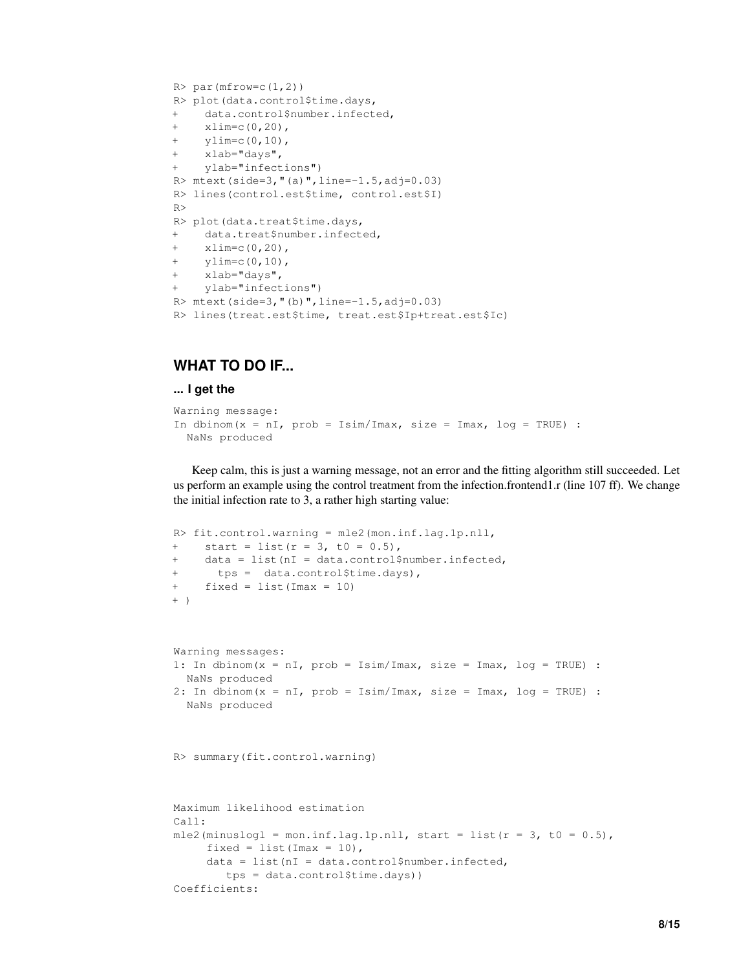```
R > par(mfrow=c(1,2))R> plot(data.control$time.days,
+ data.control$number.infected,
+ xlim=c(0,20),
+ ylim=c(0,10),
+ xlab="days",
+ ylab="infections")
R> mtext(side=3,"(a)",line=-1.5,adj=0.03)
R> lines(control.est$time, control.est$I)
R>R> plot(data.treat$time.days,
+ data.treat$number.infected,
+ xlim=c(0,20),
+ ylim=c(0,10),
+ xlab="days",
+ ylab="infections")
R> mtext(side=3,"(b)",line=-1.5,adj=0.03)
R> lines(treat.est$time, treat.est$Ip+treat.est$Ic)
```
# **WHAT TO DO IF...**

### **... I get the**

```
Warning message:
In dbinom(x = nI, prob = Isim/Imax, size = Imax, log = TRUE) :
 NaNs produced
```
Keep calm, this is just a warning message, not an error and the fitting algorithm still succeeded. Let us perform an example using the control treatment from the infection.frontend1.r (line 107 ff). We change the initial infection rate to 3, a rather high starting value:

```
R> fit.control.warning = mle2(mon.inf.lag.1p.nll,
+ start = list(r = 3, t0 = 0.5),
+ data = list(nI = data.control$number.infected,
+ tps = data.control$time.days),
+ fixed = list(Imax = 10)
+ )
Warning messages:
1: In dbinom(x = nI, prob = Isim/Imax, size = Imax, log = TRUE) :
 NaNs produced
2: In dbinom(x = nI, prob = Isim/Imax, size = Imax, log = TRUE) :
 NaNs produced
R> summary(fit.control.warning)
Maximum likelihood estimation
Call:
mle2(minuslogl = mon.inf.lag.1p.nll, start = list(r = 3, t0 = 0.5),
     fixed = list(Imax = 10),
     data = list(nI = data.control$number.infected,
       tps = data.control$time.days))
Coefficients:
```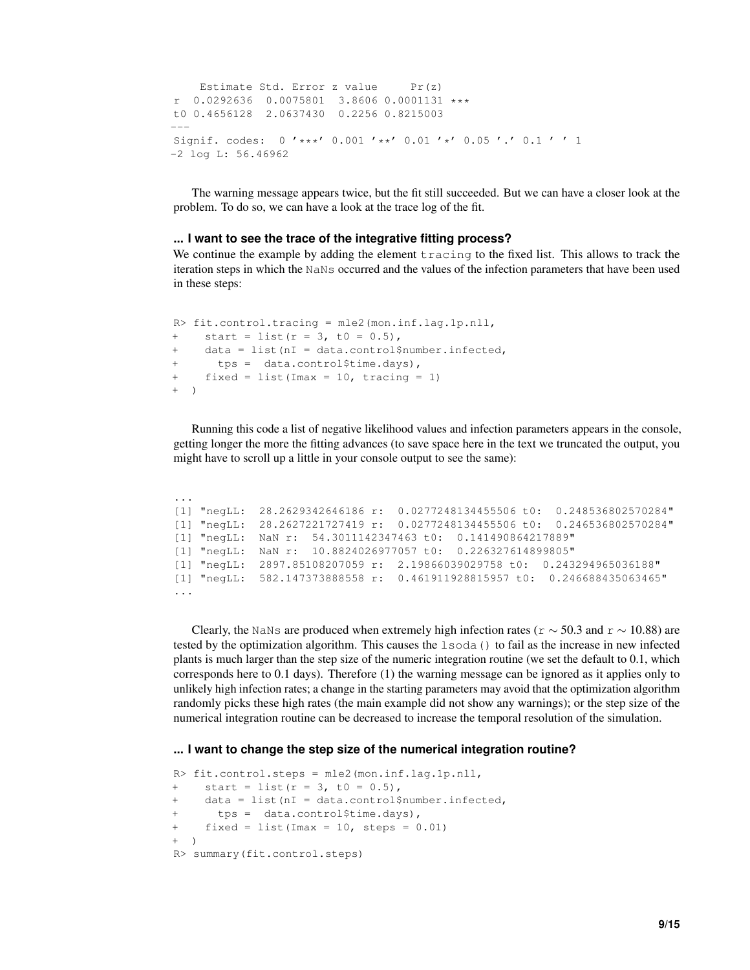```
Estimate Std. Error z value Pr(z)r 0.0292636 0.0075801 3.8606 0.0001131 ***
t0 0.4656128 2.0637430 0.2256 0.8215003
---
Signif. codes: 0 '***' 0.001 '**' 0.01 '*' 0.05 '.' 0.1 ' ' 1
-2 log L: 56.46962
```
The warning message appears twice, but the fit still succeeded. But we can have a closer look at the problem. To do so, we can have a look at the trace log of the fit.

### **... I want to see the trace of the integrative fitting process?**

We continue the example by adding the element tracing to the fixed list. This allows to track the iteration steps in which the NaNs occurred and the values of the infection parameters that have been used in these steps:

```
R> fit.control.tracing = mle2(mon.inf.lag.1p.nll,
+ start = list(r = 3, t0 = 0.5),
+ data = list(nI = data.control$number.infected,
+ tps = data.control$time.days),
+ fixed = list(Imax = 10, tracing = 1)
+ )
```
Running this code a list of negative likelihood values and infection parameters appears in the console, getting longer the more the fitting advances (to save space here in the text we truncated the output, you might have to scroll up a little in your console output to see the same):

```
...
[1] "negLL: 28.2629342646186 r: 0.0277248134455506 t0: 0.248536802570284"
[1] "negLL: 28.2627221727419 r: 0.0277248134455506 t0: 0.246536802570284"
[1] "negLL: NaN r: 54.3011142347463 t0: 0.141490864217889"
[1] "negLL: NaN r: 10.8824026977057 t0: 0.226327614899805"
[1] "negLL: 2897.85108207059 r: 2.19866039029758 t0: 0.243294965036188"
[1] "negLL: 582.147373888558 r: 0.461911928815957 t0: 0.246688435063465"
...
```
Clearly, the NaNs are produced when extremely high infection rates ( $r \sim 50.3$  and  $r \sim 10.88$ ) are tested by the optimization algorithm. This causes the lsoda() to fail as the increase in new infected plants is much larger than the step size of the numeric integration routine (we set the default to 0.1, which corresponds here to 0.1 days). Therefore (1) the warning message can be ignored as it applies only to unlikely high infection rates; a change in the starting parameters may avoid that the optimization algorithm randomly picks these high rates (the main example did not show any warnings); or the step size of the numerical integration routine can be decreased to increase the temporal resolution of the simulation.

#### **... I want to change the step size of the numerical integration routine?**

```
R> fit.control.steps = mle2(mon.inf.lag.1p.nll,
+ start = list(r = 3, t0 = 0.5),
+ data = list(nI = data.control$number.infected,
      tps = data.control$time.days),
+ fixed = list(Imax = 10, steps = 0.01)
+ )
R> summary(fit.control.steps)
```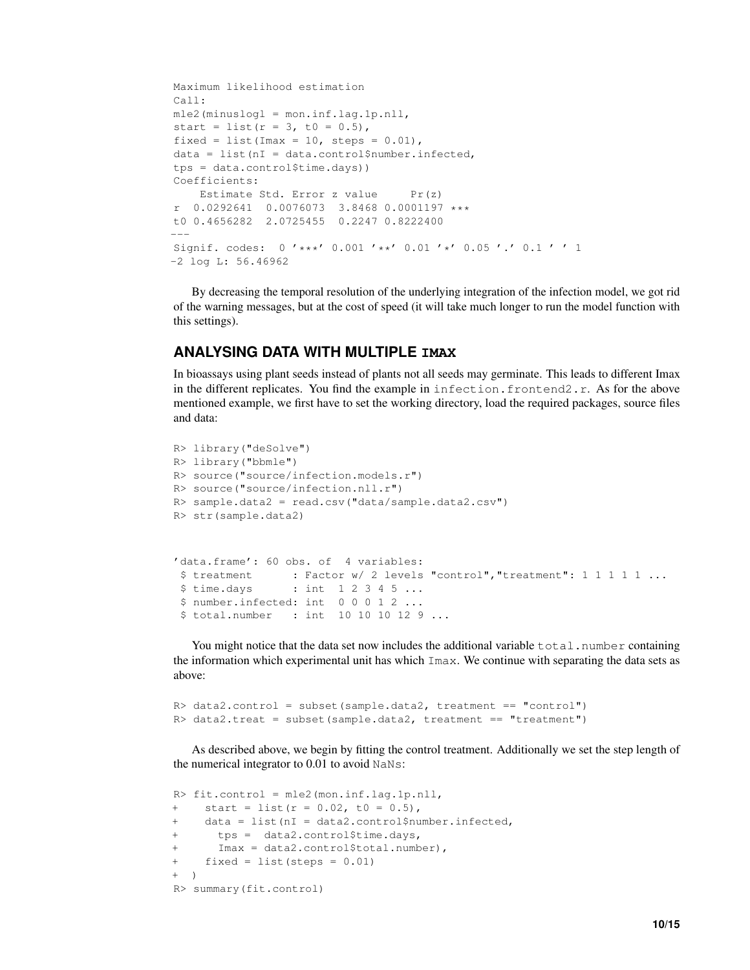```
Maximum likelihood estimation
Call:
mle2(minuslogl = mon.inf.lag.1p.nll,
start = list(r = 3, t0 = 0.5),
fixed = list(Imax = 10, steps = 0.01),
data = list(nI = data.contrib){number.infected}tps = data.control$time.days))
Coefficients:
   Estimate Std. Error z value Pr(z)r 0.0292641 0.0076073 3.8468 0.0001197 ***
t0 0.4656282 2.0725455 0.2247 0.8222400
---
Signif. codes: 0 '***' 0.001 '**' 0.01 '*' 0.05 '.' 0.1 ' ' 1
-2 log L: 56.46962
```
By decreasing the temporal resolution of the underlying integration of the infection model, we got rid of the warning messages, but at the cost of speed (it will take much longer to run the model function with this settings).

## **ANALYSING DATA WITH MULTIPLE IMAX**

In bioassays using plant seeds instead of plants not all seeds may germinate. This leads to different Imax in the different replicates. You find the example in infection.frontend2.r. As for the above mentioned example, we first have to set the working directory, load the required packages, source files and data:

```
R> library("deSolve")
R> library("bbmle")
R> source("source/infection.models.r")
R> source("source/infection.nll.r")
R> sample.data2 = read.csv("data/sample.data2.csv")
R> str(sample.data2)
'data.frame': 60 obs. of 4 variables:
 $ treatment : Factor w/ 2 levels "control", "treatment": 1 1 1 1 1 ...
 $ time.days : int 1 2 3 4 5 ...
 $ number.infected: int 0 0 0 1 2 ...
 $ total.number : int 10 10 10 12 9 ...
```
You might notice that the data set now includes the additional variable  $total$ . number containing the information which experimental unit has which Imax. We continue with separating the data sets as above:

```
R> data2.control = subset(sample.data2, treatment == "control")
R> data2.treat = subset(sample.data2, treatment == "treatment")
```
As described above, we begin by fitting the control treatment. Additionally we set the step length of the numerical integrator to 0.01 to avoid NaNs:

```
R> fit.control = mle2(mon.inf.lag.1p.nll,
+ start = list(r = 0.02, t0 = 0.5),
+ data = list(nI = data2.control$number.infected,
+ tps = data2.control$time.days,
+ Imax = data2.control$total.number),
+ fixed = list(steps = 0.01)
+ )
R> summary(fit.control)
```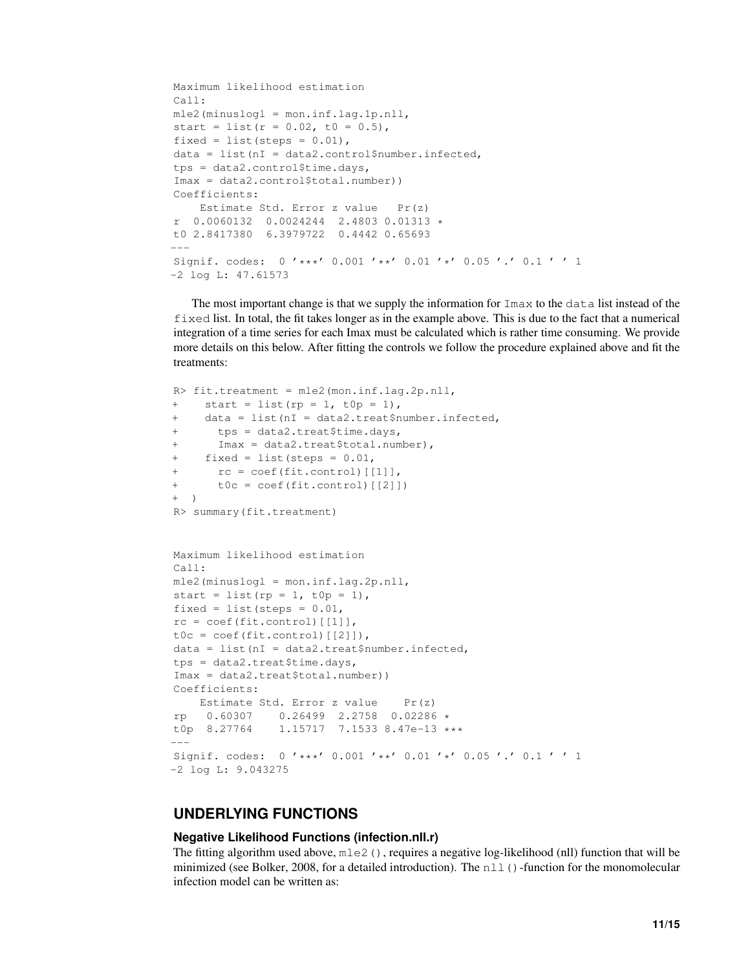```
Maximum likelihood estimation
Call:
mle2(minuslogl = mon.inf.lag.1p.nll,
start = list(r = 0.02, t0 = 0.5),
fixed = list(steps = 0.01),
data = list(nI = data2.control$number.infected,
tps = data2.control$time.days,
Imax = data2.control$total.number))
Coefficients:
    Estimate Std. Error z value Pr(z)
r 0.0060132 0.0024244 2.4803 0.01313 *
t0 2.8417380 6.3979722 0.4442 0.65693
---
Signif. codes: 0 '***' 0.001 '**' 0.01 '*' 0.05 '.' 0.1 ' ' 1
-2 log L: 47.61573
```
The most important change is that we supply the information for  $\text{Im} \alpha x$  to the data list instead of the fixed list. In total, the fit takes longer as in the example above. This is due to the fact that a numerical integration of a time series for each Imax must be calculated which is rather time consuming. We provide more details on this below. After fitting the controls we follow the procedure explained above and fit the treatments:

```
R> fit.treatment = mle2(mon.inf.lag.2p.nll,
+ start = list(rp = 1, t0p = 1),
+ data = list(nI = data2.treat$number.infected,
+ tps = data2.treat$time.days,
      Imax = data2.treat$total.number),
     fixed = list(steps = 0.01,
      rc = coef(fit.control)[[1]],+ t0c = coef(fit.control)[[2]])
+ )
R> summary(fit.treatment)
Maximum likelihood estimation
Call:
mle2(minuslogl = mon.inf.lag.2p.nll,
start = list(rp = 1, t0p = 1),
fixed = list(steps = 0.01,
rc = coef(fit.control)[[1]],
t0c = coef(fit.control)[[2]]),data = list(nI = data2.treat$number.infect,tps = data2.treat$time.days,
Imax = data2.treat$total.number))
Coefficients:
   Estimate Std. Error z value Pr(z)
rp 0.60307 0.26499 2.2758 0.02286 *
t0p 8.27764 1.15717 7.1533 8.47e-13 ***
---
Signif. codes: 0 '***' 0.001 '**' 0.01 '*' 0.05 '.' 0.1 ' ' 1
-2 log L: 9.043275
```
## **UNDERLYING FUNCTIONS**

### **Negative Likelihood Functions (infection.nll.r)**

The fitting algorithm used above,  $mle2$  (), requires a negative log-likelihood (nll) function that will be minimized (see Bolker, 2008, for a detailed introduction). The nll()-function for the monomolecular infection model can be written as: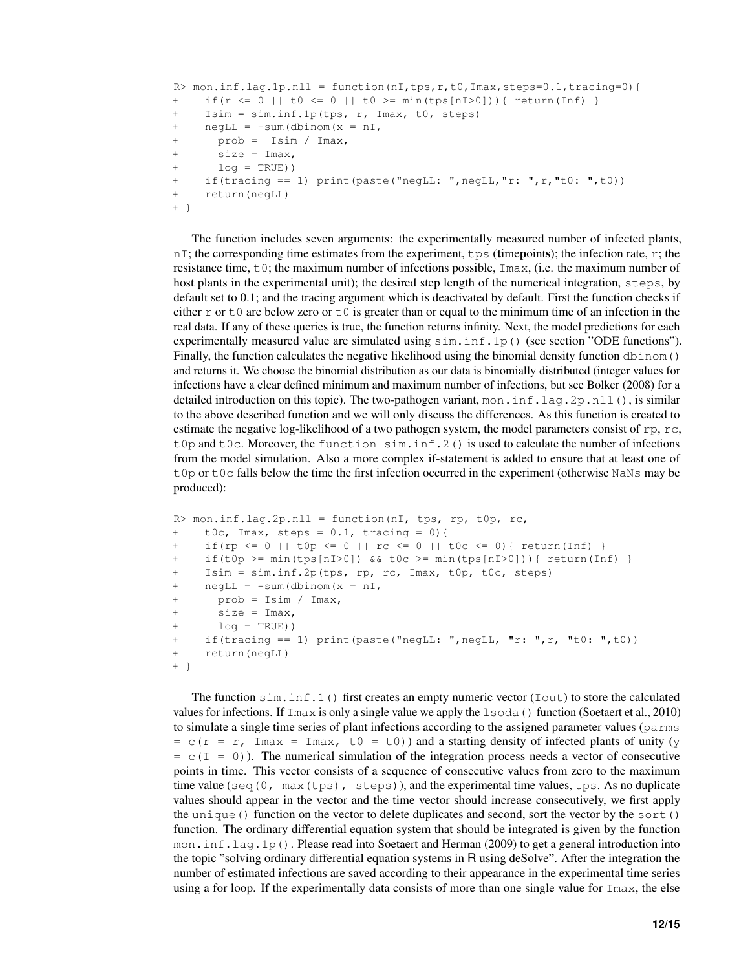```
R> mon.inf.lag.1p.nll = function(nI,tps,r,t0,Imax,steps=0.1,tracing=0){
+ if(r <= 0 || t0 <= 0 || t0 >= min(tps[nI>0])){ return(Inf) }
+ Isim = sim.inf.1p(tps, r, Imax, t0, steps)
+ negLL = -sum(dbinom(x = nI))+ prob = Isim / Imax,
+ size = Imax,
+ log = TRUE))
+ if(tracing == 1) print(paste("negLL: ",negLL,"r: ",r,"t0: ",t0))
+ return(negLL)
+ }
```
The function includes seven arguments: the experimentally measured number of infected plants,  $nI$ ; the corresponding time estimates from the experiment,  $tps$  (timepoints); the infection rate, r; the resistance time,  $\pm 0$ ; the maximum number of infections possible,  $\text{Im} \alpha$ , (i.e. the maximum number of host plants in the experimental unit); the desired step length of the numerical integration, steps, by default set to 0.1; and the tracing argument which is deactivated by default. First the function checks if either  $r \circ t \circ t$  are below zero or  $t \circ t$  is greater than or equal to the minimum time of an infection in the real data. If any of these queries is true, the function returns infinity. Next, the model predictions for each experimentally measured value are simulated using  $sim$ . inf.1p() (see section "ODE functions"). Finally, the function calculates the negative likelihood using the binomial density function dbinom () and returns it. We choose the binomial distribution as our data is binomially distributed (integer values for infections have a clear defined minimum and maximum number of infections, but see Bolker (2008) for a detailed introduction on this topic). The two-pathogen variant, mon. inf.lag.2p.nll(), is similar to the above described function and we will only discuss the differences. As this function is created to estimate the negative log-likelihood of a two pathogen system, the model parameters consist of rp, rc, t0p and t0c. Moreover, the function  $\sin \text{inf}$ . 2() is used to calculate the number of infections from the model simulation. Also a more complex if-statement is added to ensure that at least one of  $t0p$  or  $t0c$  falls below the time the first infection occurred in the experiment (otherwise NaNs may be produced):

```
R> mon.inf.lag.2p.nll = function(nI, tps, rp, t0p, rc,
+ t0c, Imax, steps = 0.1, tracing = 0){
+ if(rp <= 0 || t0p <= 0 || rc <= 0 || t0c <= 0){ return(Inf) }
+ if(t0p >= min(tps[nI>0]) && t0c >= min(tps[nI>0])){ return(Inf) }
+ Isim = sim.inf.2p(tps, rp, rc, Imax, t0p, t0c, steps)
+ negLL = -sum(dbinom(x = nI,
+ prob = Isim / Imax,
+ size = Imax,
+ log = TRUE))
    if(tracing == 1) print(paste("negLL: ",negLL, "r: ",r, "t0: ",t0))
+ return(negLL)
+ }
```
The function  $\sin \sin \sin 1$  () first creates an empty numeric vector (Iout) to store the calculated values for infections. If Imax is only a single value we apply the lsoda() function (Soetaert et al., 2010) to simulate a single time series of plant infections according to the assigned parameter values (parms  $= c(r = r, \text{Imax} = \text{Imax}, t0 = t0)$  and a starting density of infected plants of unity (y  $= c(I = 0)$ ). The numerical simulation of the integration process needs a vector of consecutive points in time. This vector consists of a sequence of consecutive values from zero to the maximum time value (seq  $(0, \text{max}(\text{tps}), \text{steps})$ ), and the experimental time values,  $\text{tps}$ . As no duplicate values should appear in the vector and the time vector should increase consecutively, we first apply the unique() function on the vector to delete duplicates and second, sort the vector by the sort() function. The ordinary differential equation system that should be integrated is given by the function mon.inf.lag.1p(). Please read into Soetaert and Herman (2009) to get a general introduction into the topic "solving ordinary differential equation systems in R using deSolve". After the integration the number of estimated infections are saved according to their appearance in the experimental time series using a for loop. If the experimentally data consists of more than one single value for Imax, the else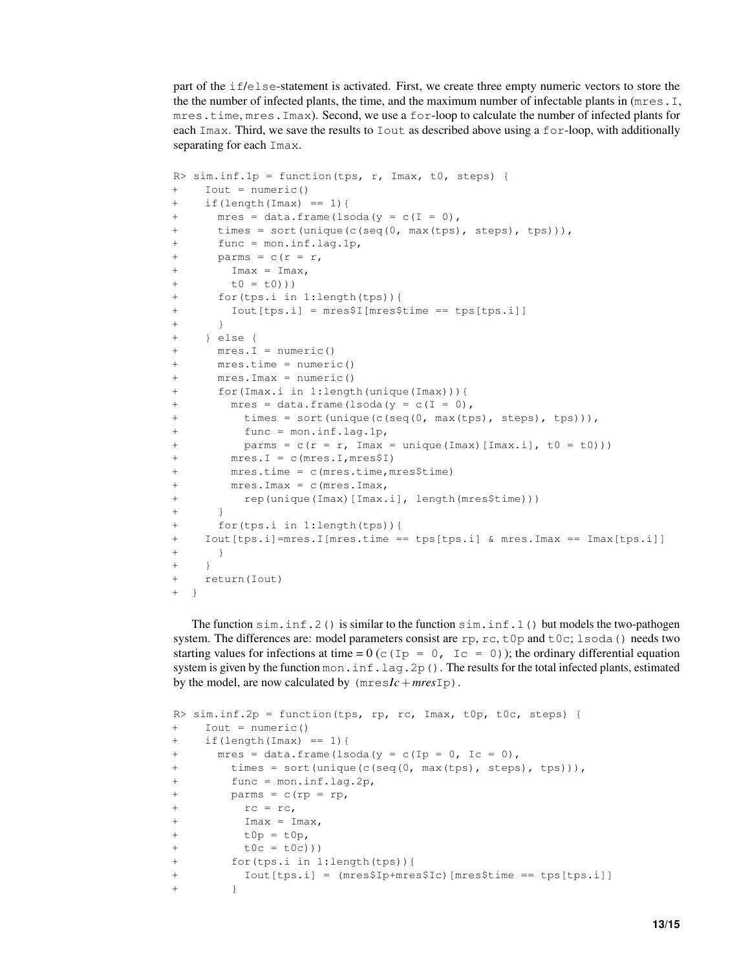part of the if/else-statement is activated. First, we create three empty numeric vectors to store the the the number of infected plants, the time, and the maximum number of infectable plants in (mres.I, mres.time, mres.Imax). Second, we use a for-loop to calculate the number of infected plants for each Imax. Third, we save the results to Iout as described above using a for-loop, with additionally separating for each Imax.

```
R > sim.inf.1p = function(tps, r, Imax, t0, steps) {
+ Iout = numeric()
+ if(length(Imax) == 1){
+ mres = data frame(lsoda(y = c(I = 0)),+ times = sort(unique(c(seq(0, max(tps), steps), tps))),
+ func = mon.inf.lag.1p,
+ parms = c(r = r,+ Imax = Imax,
+ t0 = t0)))
+ for(tps.i in 1:length(tps)){
+ Iout[tps.i] = mres$I[mres$time == tps[tps.i]]
+ }
+ } else {
+ mres.I = numeric()
+ mres.time = numeric()
+ mres.Imax = numeric()
+ for(Imax.i in 1:length(unique(Imax))){
+ mres = data frame(Isoda(y = c(I = 0)),+ times = sort(unique(c(seq(0, max(tps), steps), tps))),
+ func = mon.inf.lag.1p,
+ parms = c(r = r, \text{ Imax} = unique(\text{Imax})[\text{Imax}.i], t0 = t0)))+ mres.I = c(mres.I,mres$I)
+ mres.time = c(mres.time,mres$time)
+ mres.Imax = c(mres.Imax,
+ rep(unique(Imax)[Imax.i], length(mres$time)))
+ }
+ for(tps.i in 1:length(tps)){
+ Iout[tps.i]=mres.I[mres.time == tps[tps.i] & mres.Imax == Imax[tps.i]]
+ }
+ }
+ return(Iout)
 \}
```
The function  $\sin \sin \sin 2$  () is similar to the function  $\sin \sin \sin 1$  () but models the two-pathogen system. The differences are: model parameters consist are rp, rc, t0p and t0c; lsoda() needs two starting values for infections at time =  $0$  (c (Ip = 0, Ic = 0)); the ordinary differential equation system is given by the function mon.  $\inf$ .  $\lim_{z \to z_0}$  (). The results for the total infected plants, estimated by the model, are now calculated by  $(mresIc+mresIp)$ .

```
R> sim.inf.2p = function(tps, rp, rc, Imax, t0p, t0c, steps) {
+ Iout = numeric()
+ if(length(Imax) == 1)+ mres = data.frame(lsoda(y = c(Ip = 0, Ic = 0),
+ times = sort(unique(c(seq(0, max(tps), steps), tps))),
+ func = mon.inf.lag.2p,
+ parms = c(rp = rp,
+ rc = rc,
+ Imax = Imax,
+ t0p = t0p,
+ t0c = t0c)))
+ for(tps.i in 1:length(tps)){
+ Iout[tps.i] = (mres$Ip+mres$Ic)[mres$time == tps[tps.i]]
+ }
```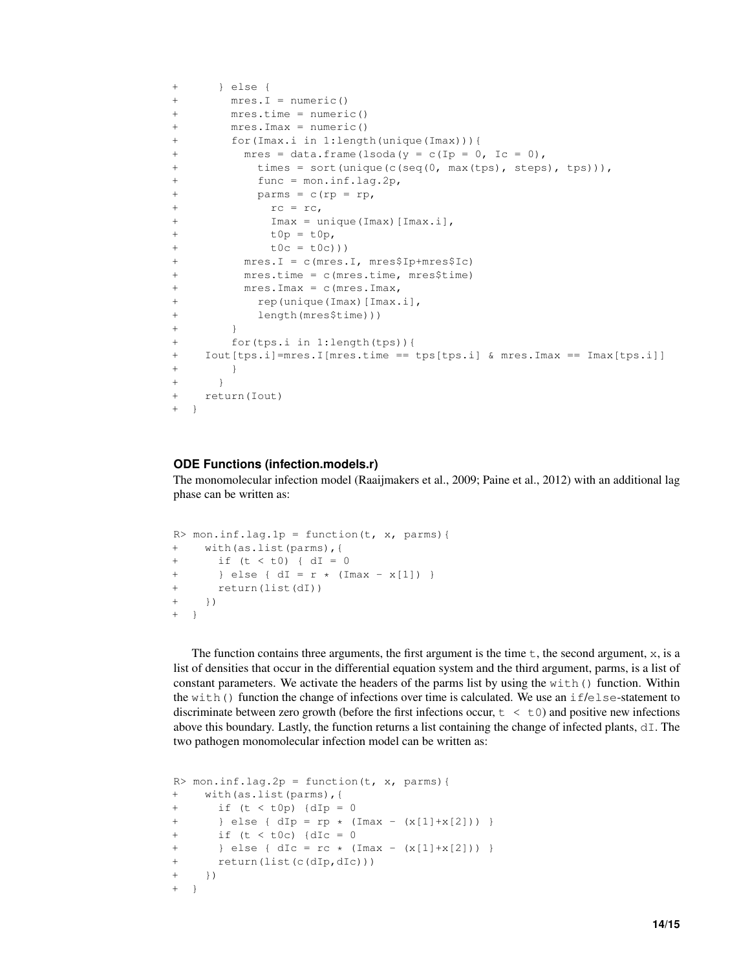```
+ } else {
+ mres.I = numeric()
+ mres.time = numeric()
+ mres.Imax = numeric()
+ for(Imax.i in 1:length(unique(Imax))){
+ mres = data.frame(lsoda(y = c(Ip = 0, Ic = 0),
+ times = sort(unique(c(seq(0, max(tps), steps), tps))),
+ func = mon.inf.lag.2p,
+ parms = c(rp = rp,
+ rc = rc,
+ Imax = unique(Imax)[Imax.i],
+ t0p = t0p,
+ t0c = t0c)))
+ mres.I = c(mres.I, mres$Ip+mres$Ic)
+ mres.time = c(mres.time, mres$time)
+ mres.Imax = c(mres.Imax,
+ rep(unique(Imax)[Imax.i],
+ length(mres$time)))
+ }
+ for(tps.i in 1:length(tps)){
+ Iout[tps.i]=mres.I[mres.time == tps[tps.i] & mres.Imax == Imax[tps.i]]
+ }
+ }
+ return(Iout)
+ }
```
### **ODE Functions (infection.models.r)**

The monomolecular infection model (Raaijmakers et al., 2009; Paine et al., 2012) with an additional lag phase can be written as:

```
R > mon.inf.laq.lp = function(t, x, parms)+ with(as.list(parms),{
+ if (t < t0) { dI = 0+ } else { dI = r * (Imax - x[1]) }
+ return(list(dI))
+ } }
  \downarrow
```
The function contains three arguments, the first argument is the time  $t$ , the second argument,  $x$ , is a list of densities that occur in the differential equation system and the third argument, parms, is a list of constant parameters. We activate the headers of the parms list by using the with() function. Within the with() function the change of infections over time is calculated. We use an if/else-statement to discriminate between zero growth (before the first infections occur,  $t < t$ ) and positive new infections above this boundary. Lastly, the function returns a list containing the change of infected plants,  $dI$ . The two pathogen monomolecular infection model can be written as:

```
R> mon.inf.lag.2p = function(t, x, parms){
+ with(as.list(parms),{
+ if (t < t0p) {dIp = 0}+ } else { dIp = rp * (Imax - (x[1]+x[2])) }
+ if (t < t0c) {dIc = 0
+ } else { dIc = rc * (Imax - (x[1]+x[2])) }
+ return(list(c(dIp,dIc)))
+ } }
+ }
```